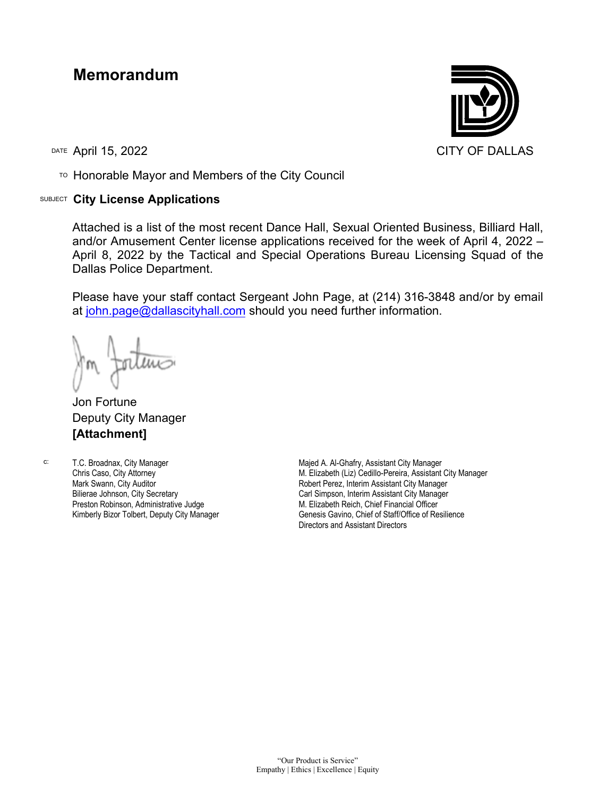## **Memorandum**

TO Honorable Mayor and Members of the City Council

## SUBJECT **City License Applications**



Attached is a list of the most recent Dance Hall, Sexual Oriented Business, Billiard Hall, and/or Amusement Center license applications received for the week of April 4, 2022 – April 8, 2022 by the Tactical and Special Operations Bureau Licensing Squad of the Dallas Police Department.

Please have your staff contact Sergeant John Page, at (214) 316-3848 and/or by email a[t john.page@dallascityhall.com](mailto:john.page@dallascityhall.com) should you need further information.

Jon Fortune Deputy City Manager **[Attachment]**

c: T.C. Broadnax, City Manager Chris Caso, City Attorney Mark Swann, City Auditor Bilierae Johnson, City Secretary Preston Robinson, Administrative Judge Kimberly Bizor Tolbert, Deputy City Manager

Majed A. Al-Ghafry, Assistant City Manager M. Elizabeth (Liz) Cedillo-Pereira, Assistant City Manager Robert Perez, Interim Assistant City Manager Carl Simpson, Interim Assistant City Manager M. Elizabeth Reich, Chief Financial Officer Genesis Gavino, Chief of Staff/Office of Resilience Directors and Assistant Directors